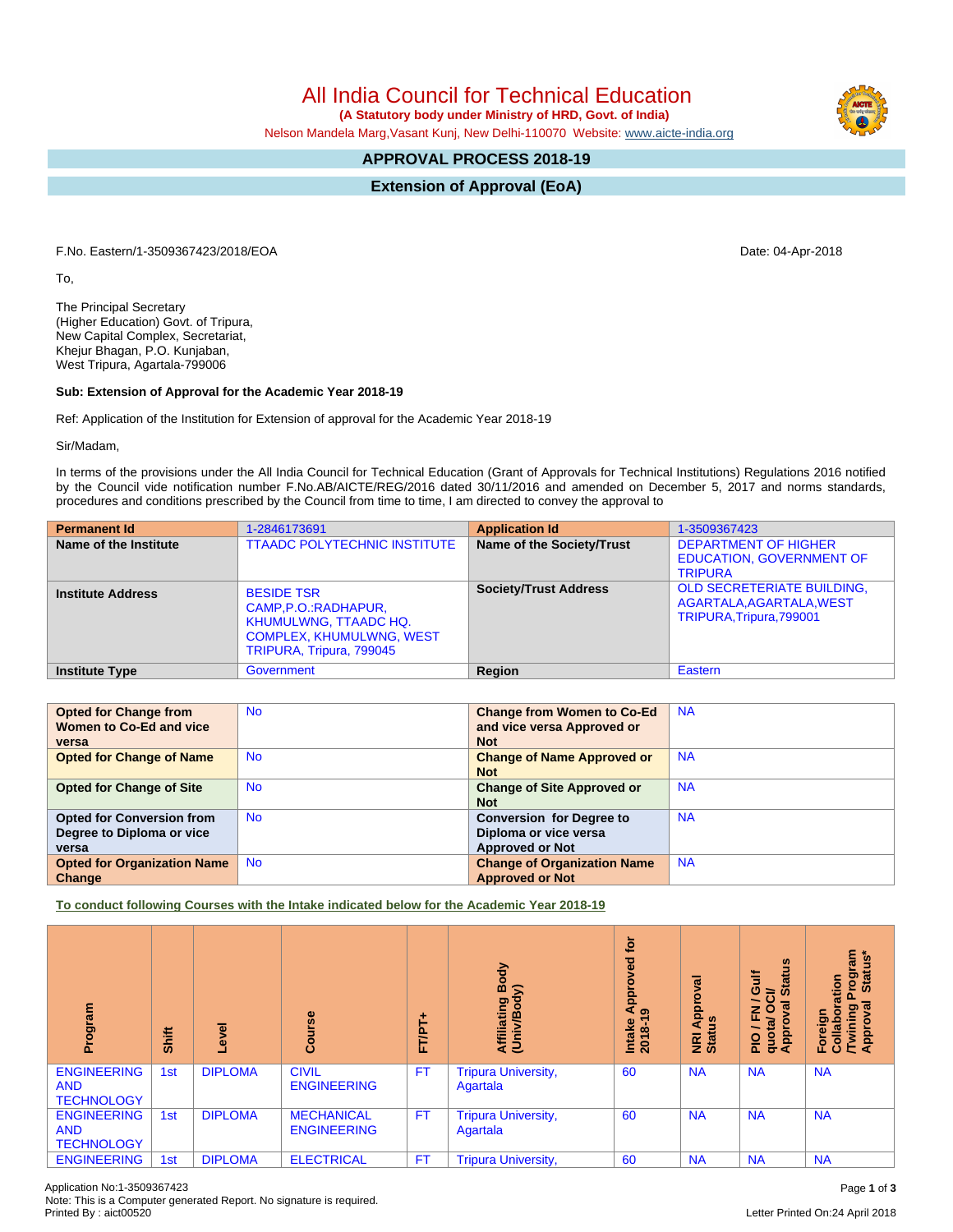All India Council for Technical Education

 **(A Statutory body under Ministry of HRD, Govt. of India)**

Nelson Mandela Marg,Vasant Kunj, New Delhi-110070 Website: [www.aicte-india.org](http://www.aicte-india.org)

## **APPROVAL PROCESS 2018-19**

**Extension of Approval (EoA)**

F.No. Eastern/1-3509367423/2018/EOA Date: 04-Apr-2018

To,

The Principal Secretary (Higher Education) Govt. of Tripura, New Capital Complex, Secretariat, Khejur Bhagan, P.O. Kunjaban, West Tripura, Agartala-799006

## **Sub: Extension of Approval for the Academic Year 2018-19**

Ref: Application of the Institution for Extension of approval for the Academic Year 2018-19

Sir/Madam,

In terms of the provisions under the All India Council for Technical Education (Grant of Approvals for Technical Institutions) Regulations 2016 notified by the Council vide notification number F.No.AB/AICTE/REG/2016 dated 30/11/2016 and amended on December 5, 2017 and norms standards, procedures and conditions prescribed by the Council from time to time, I am directed to convey the approval to

| <b>Permanent Id</b>      | 1-2846173691                                                                                                                              | <b>Application Id</b>        | 1-3509367423                                                                              |
|--------------------------|-------------------------------------------------------------------------------------------------------------------------------------------|------------------------------|-------------------------------------------------------------------------------------------|
| Name of the Institute    | <b>TTAADC POLYTECHNIC INSTITUTE</b>                                                                                                       | Name of the Society/Trust    | <b>DEPARTMENT OF HIGHER</b><br><b>EDUCATION, GOVERNMENT OF</b><br><b>TRIPURA</b>          |
| <b>Institute Address</b> | <b>BESIDE TSR</b><br>CAMP, P.O.: RADHAPUR,<br><b>KHUMULWNG, TTAADC HQ.</b><br><b>COMPLEX, KHUMULWNG, WEST</b><br>TRIPURA, Tripura, 799045 | <b>Society/Trust Address</b> | <b>OLD SECRETERIATE BUILDING.</b><br>AGARTALA, AGARTALA, WEST<br>TRIPURA, Tripura, 799001 |
| <b>Institute Type</b>    | Government                                                                                                                                | Region                       | Eastern                                                                                   |

| <b>Opted for Change from</b>       | <b>No</b> | <b>Change from Women to Co-Ed</b>  | <b>NA</b> |
|------------------------------------|-----------|------------------------------------|-----------|
| Women to Co-Ed and vice            |           | and vice versa Approved or         |           |
| versa                              |           | <b>Not</b>                         |           |
| <b>Opted for Change of Name</b>    | <b>No</b> | <b>Change of Name Approved or</b>  | <b>NA</b> |
|                                    |           | <b>Not</b>                         |           |
| <b>Opted for Change of Site</b>    | <b>No</b> | <b>Change of Site Approved or</b>  | <b>NA</b> |
|                                    |           | <b>Not</b>                         |           |
| <b>Opted for Conversion from</b>   | <b>No</b> | <b>Conversion for Degree to</b>    | <b>NA</b> |
| Degree to Diploma or vice          |           | Diploma or vice versa              |           |
| versa                              |           | <b>Approved or Not</b>             |           |
| <b>Opted for Organization Name</b> | <b>No</b> | <b>Change of Organization Name</b> | <b>NA</b> |
| Change                             |           | <b>Approved or Not</b>             |           |

**To conduct following Courses with the Intake indicated below for the Academic Year 2018-19**

| Program                                               | <b>Shift</b> | ō<br>ၛ         | $\frac{6}{5}$<br>යි                     | ۰<br><b>FT/PT</b> | Body<br>$\widehat{\phantom{a}}$<br>Affiliating<br>(Univ/Bod <sub>)</sub> | <b>b</b><br>yed<br>ο<br>Āppi<br>ၜ<br>Intake<br>2018-1 | ᢛ<br>Āppi<br><b>NRI Ap</b><br>Status | <b>Status</b><br>₹<br>O<br>∋<br>6<br>준<br>quota/<br>Approv<br>$\frac{1}{2}$ | rogram<br>Status*<br>ation<br>ह<br><b>Twining</b><br>Approval<br>Foreign<br>Collab |
|-------------------------------------------------------|--------------|----------------|-----------------------------------------|-------------------|--------------------------------------------------------------------------|-------------------------------------------------------|--------------------------------------|-----------------------------------------------------------------------------|------------------------------------------------------------------------------------|
| <b>ENGINEERING</b><br><b>AND</b><br><b>TECHNOLOGY</b> | 1st          | <b>DIPLOMA</b> | <b>CIVIL</b><br><b>ENGINEERING</b>      | <b>FT</b>         | <b>Tripura University,</b><br>Agartala                                   | 60                                                    | <b>NA</b>                            | <b>NA</b>                                                                   | <b>NA</b>                                                                          |
| <b>ENGINEERING</b><br><b>AND</b><br><b>TECHNOLOGY</b> | 1st          | <b>DIPLOMA</b> | <b>MECHANICAL</b><br><b>ENGINEERING</b> | <b>FT</b>         | <b>Tripura University,</b><br>Agartala                                   | 60                                                    | <b>NA</b>                            | <b>NA</b>                                                                   | <b>NA</b>                                                                          |
| <b>ENGINEERING</b>                                    | 1st          | <b>DIPLOMA</b> | <b>ELECTRICAL</b>                       | <b>FT</b>         | <b>Tripura University,</b>                                               | 60                                                    | <b>NA</b>                            | <b>NA</b>                                                                   | <b>NA</b>                                                                          |

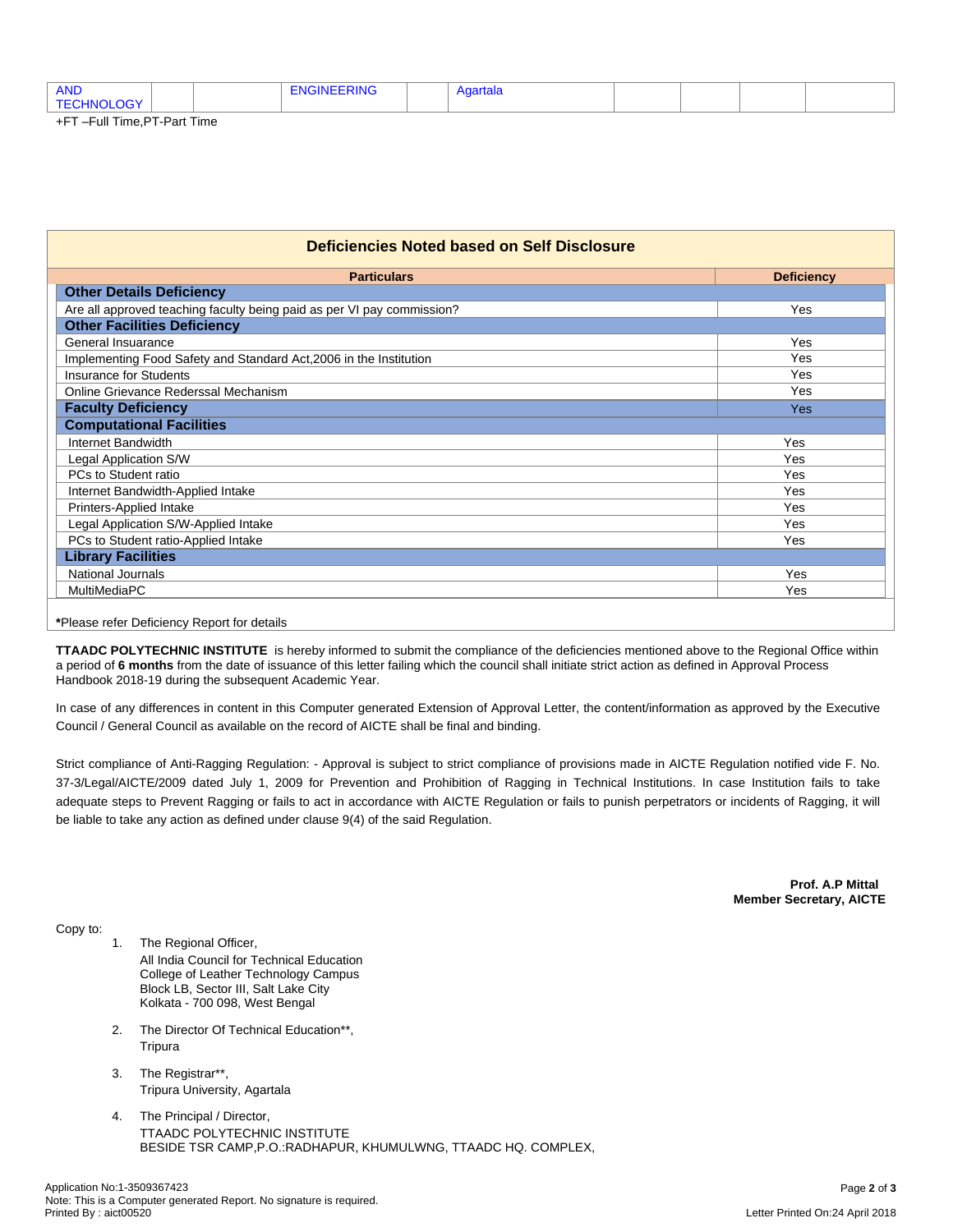| <b>AND</b>          |  |  | ≺ınG |  | aartala |  |  |
|---------------------|--|--|------|--|---------|--|--|
| TΕ<br>animi d<br>≘¥ |  |  |      |  |         |  |  |
| _____<br>__ _ …     |  |  |      |  |         |  |  |

+FT –Full Time,PT-Part Time

| Deficiencies Noted based on Self Disclosure                            |                   |  |  |  |  |  |
|------------------------------------------------------------------------|-------------------|--|--|--|--|--|
| <b>Particulars</b>                                                     | <b>Deficiency</b> |  |  |  |  |  |
| <b>Other Details Deficiency</b>                                        |                   |  |  |  |  |  |
| Are all approved teaching faculty being paid as per VI pay commission? | Yes               |  |  |  |  |  |
| <b>Other Facilities Deficiency</b>                                     |                   |  |  |  |  |  |
| General Insuarance                                                     | Yes               |  |  |  |  |  |
| Implementing Food Safety and Standard Act, 2006 in the Institution     | Yes               |  |  |  |  |  |
| <b>Insurance for Students</b>                                          | Yes               |  |  |  |  |  |
| Online Grievance Rederssal Mechanism                                   | Yes               |  |  |  |  |  |
| <b>Faculty Deficiency</b>                                              | Yes               |  |  |  |  |  |
| <b>Computational Facilities</b>                                        |                   |  |  |  |  |  |
| Internet Bandwidth                                                     | Yes               |  |  |  |  |  |
| Legal Application S/W                                                  | Yes               |  |  |  |  |  |
| PCs to Student ratio                                                   | <b>Yes</b>        |  |  |  |  |  |
| Internet Bandwidth-Applied Intake                                      | Yes               |  |  |  |  |  |
| Printers-Applied Intake                                                | <b>Yes</b>        |  |  |  |  |  |
| Legal Application S/W-Applied Intake                                   | Yes               |  |  |  |  |  |
| PCs to Student ratio-Applied Intake                                    | Yes               |  |  |  |  |  |
| <b>Library Facilities</b>                                              |                   |  |  |  |  |  |
| <b>National Journals</b><br>Yes                                        |                   |  |  |  |  |  |
| MultiMediaPC<br>Yes                                                    |                   |  |  |  |  |  |

**\***Please refer Deficiency Report for details

**TTAADC POLYTECHNIC INSTITUTE** is hereby informed to submit the compliance of the deficiencies mentioned above to the Regional Office within a period of **6 months** from the date of issuance of this letter failing which the council shall initiate strict action as defined in Approval Process Handbook 2018-19 during the subsequent Academic Year.

In case of any differences in content in this Computer generated Extension of Approval Letter, the content/information as approved by the Executive Council / General Council as available on the record of AICTE shall be final and binding.

Strict compliance of Anti-Ragging Regulation: - Approval is subject to strict compliance of provisions made in AICTE Regulation notified vide F. No. 37-3/Legal/AICTE/2009 dated July 1, 2009 for Prevention and Prohibition of Ragging in Technical Institutions. In case Institution fails to take adequate steps to Prevent Ragging or fails to act in accordance with AICTE Regulation or fails to punish perpetrators or incidents of Ragging, it will be liable to take any action as defined under clause 9(4) of the said Regulation.

> **Prof. A.P Mittal Member Secretary, AICTE**

Copy to:

- 1. The Regional Officer, All India Council for Technical Education College of Leather Technology Campus Block LB, Sector III, Salt Lake City Kolkata - 700 098, West Bengal
- 2. The Director Of Technical Education\*\*, Tripura
- 3. The Registrar\*\*, Tripura University, Agartala
- 4. The Principal / Director, TTAADC POLYTECHNIC INSTITUTE BESIDE TSR CAMP,P.O.:RADHAPUR, KHUMULWNG, TTAADC HQ. COMPLEX,